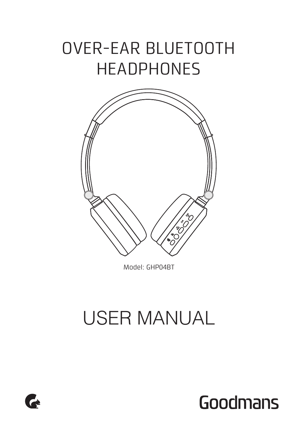# OVER-EAR BLUETOOTH **HEADPHONES**



Model: GHP04BT

# USER MANUAL



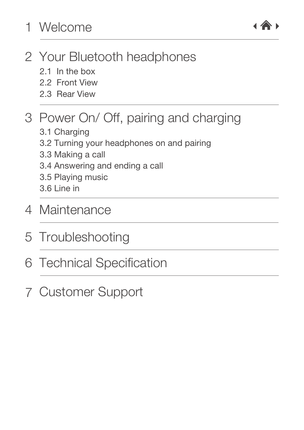## [Your Bluetooth headphones](#page-2-0) 2

- 2.1 In the box
- 2.2 Front View
- [2.3 Rear View](#page-3-0)

## 3 [Power On/ Off, pairing and charging](#page-3-0)

- [3.1 Charging](#page-3-0)
- [3.2 Turning your headphones on and pairing](#page-4-0)
- [3.3 Making a call](#page-4-0)
- [3.4 Answering and ending a call](#page-5-0)
- [3.5 Playing music](#page-5-0)
- [3.6 Line in](#page-5-0)
- 4 [Maintenance](#page-6-0)
- 5 [Troubleshooting](#page-6-0)
- 6 [Technical Specification](#page-7-0)
- 7 [Customer Support](#page-7-0)

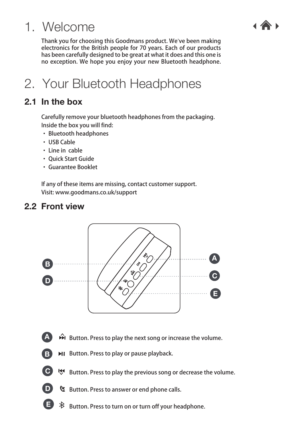## <span id="page-2-0"></span>1. Welcome

Thank you for choosing this Goodmans product. We've been making electronics for the British people for 70 years. Each of our products has been carefully designed to be great at what it does and this one is no exception. We hope you enjoy your new Bluetooth headphone.

## 2. Your Bluetooth Headphones

### 2.1 In the box

Carefully remove your bluetooth headphones from the packaging. Inside the box you will find:

- · Bluetooth headphones
- · USB Cable
- · Line in cable
- · Quick Start Guide
- · Guarantee Booklet

If any of these items are missing, contact customer support. Visit: www.goodmans.co.uk/support

### 2.2 Front view



- A  $\rightarrow$   $\hat{H}$  Button. Press to play the next song or increase the volume.
- **MI** Button. Press to play or pause playback. B
- Button. Press to play the previous song or decrease the volume.  $\bullet$
- **D** & Button. Press to answer or end phone calls.
- $\hat{\mathcal{B}}$  Button. Press to turn on or turn off your headphone. E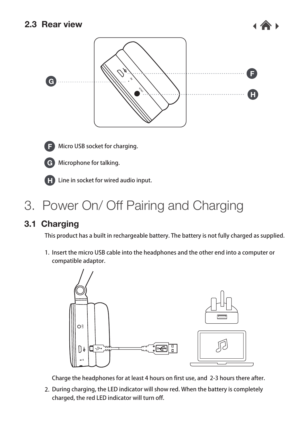<span id="page-3-0"></span>



Micro USB socket for charging. F



Microphone for talking. G



Line in socket for wired audio input. H

## 3. Power On/ Off Pairing and Charging

### 3.1 Charging

This product has a built in rechargeable battery. The battery is not fully charged as supplied.

1. Insert the micro USB cable into the headphones and the other end into a computer or compatible adaptor.



Charge the headphones for at least 4 hours on first use, and 2-3 hours there after.

2. During charging, the LED indicator will show red. When the battery is completely charged, the red LED indicator will turn off.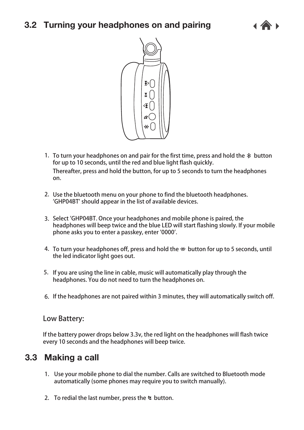### <span id="page-4-0"></span>3.2 Turning your headphones on and pairing





- 1. To turn your headphones on and pair for the first time, press and hold the  $\ddot{x}$  button for up to 10 seconds, until the red and blue light flash quickly. Thereafter, press and hold the button, for up to 5 seconds to turn the headphones on.
- 2. Use the bluetooth menu on your phone to find the bluetooth headphones. 'GHP04BT' should appear in the list of available devices.
- Select 'GHP04BT. Once your headphones and mobile phone is paired, the 3. headphones will beep twice and the blue LED will start flashing slowly. If your mobile phone asks you to enter a passkey, enter '0000'.
- 4. To turn your headphones off, press and hold the  $\divideontimes$  button for up to 5 seconds, until the led indicator light goes out.
- 5. If you are using the line in cable, music will automatically play through the headphones. You do not need to turn the headphones on.
- 6. If the headphones are not paired within 3 minutes, they will automatically switch off.

#### **Low Battery:**

If the battery power drops below 3.3v, the red light on the headphones will flash twice every 10 seconds and the headphones will beep twice.

### 3.3 Making a call

- Use your mobile phone to dial the number. Calls are switched to Bluetooth mode 1. automatically (some phones may require you to switch manually).
- 2. To redial the last number, press the  $\alpha$  button.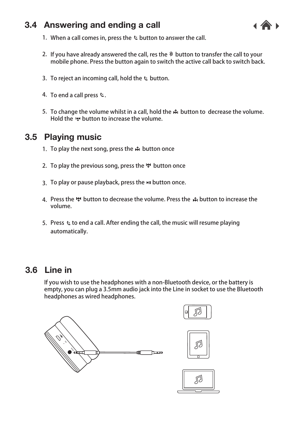### <span id="page-5-0"></span>3.4 Answering and ending a call



- 1. When a call comes in, press the  $\alpha$  button to answer the call.
- 2. If you have already answered the call, res the  $\rm{\AA}$  button to transfer the call to your mobile phone. Press the button again to switch the active call back to switch back.
- 3. To reject an incoming call, hold the  $\ell_i$  button.
- 4. To end a call press  $\mathfrak{e}.$
- 5. To change the volume whilst in a call, hold the  $\hat{\bm{\varkappa}}$  button to decrease the volume. Hold the button to increase the volume.

### 3.5 Playing music

- 1. To play the next song, press the  $\hat{\mathbf{m}}$  button once
- 2. To play the previous song, press the הוא button once
- 3.  $\,$  To play or pause playback, press the  $\,$ н button once.
- 4. Press the '♥ button to decrease the volume. Press the ♪ button to increase the volume.
- 5. Press  $\,\mathfrak{c}\,$  to end a call. After ending the call, the music will resume playing automatically.

### 3.6 Line in

If you wish to use the headphones with a non-Bluetooth device, or the battery is empty, you can plug a 3.5mm audio jack into the Line in socket to use the Bluetooth headphones as wired headphones.

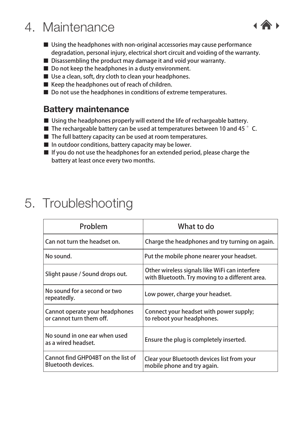## <span id="page-6-0"></span>4. Maintenance

- Using the headphones with non-original accessories may cause performance degradation, personal injury, electrical short circuit and voiding of the warranty.
- Disassembling the product may damage it and void your warranty.
- Do not keep the headphones in a dusty environment.
- Use a clean, soft, dry cloth to clean your headphones.
- Keep the headphones out of reach of children.
- Do not use the headphones in conditions of extreme temperatures.

### Battery maintenance

- Using the headphones properly will extend the life of rechargeable battery.
- **The rechargeable battery can be used at temperatures between 10 and 45**  $^{\circ}$  **C.**
- The full battery capacity can be used at room temperatures.
- In outdoor conditions, battery capacity may be lower.
- If you do not use the headphones for an extended period, please charge the battery at least once every two months.

## 5. Troubleshooting

| Problem                                                         | What to do                                                                                        |
|-----------------------------------------------------------------|---------------------------------------------------------------------------------------------------|
| Can not turn the headset on.                                    | Charge the headphones and try turning on again.                                                   |
| No sound.                                                       | Put the mobile phone nearer your headset.                                                         |
| Slight pause / Sound drops out.                                 | Other wireless signals like WiFi can interfere<br>with Bluetooth. Try moving to a different area. |
| No sound for a second or two<br>repeatedly.                     | Low power, charge your headset.                                                                   |
| Cannot operate your headphones<br>or cannot turn them off.      | Connect your headset with power supply;<br>to reboot your headphones.                             |
| No sound in one ear when used<br>as a wired headset.            | Ensure the plug is completely inserted.                                                           |
| Cannot find GHP04BT on the list of<br><b>Bluetooth devices.</b> | Clear your Bluetooth devices list from your<br>mobile phone and try again.                        |